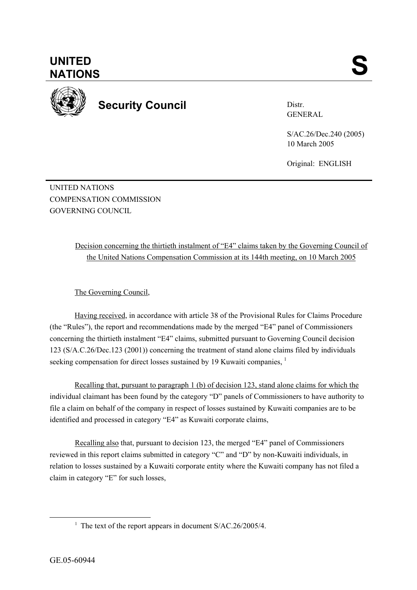

**Security Council** 

Distr. GENERAL

S/AC.26/Dec.240 (2005) 10 March 2005

Original: ENGLISH

UNITED NATIONS COMPENSATION COMMISSION GOVERNING COUNCIL

> Decision concerning the thirtieth instalment of "E4" claims taken by the Governing Council of the United Nations Compensation Commission at its 144th meeting, on 10 March 2005

The Governing Council,

Having received, in accordance with article 38 of the Provisional Rules for Claims Procedure (the "Rules"), the report and recommendations made by the merged "E4" panel of Commissioners concerning the thirtieth instalment "E4" claims, submitted pursuant to Governing Council decision 123 (S/A.C.26/Dec.123 (2001)) concerning the treatment of stand alone claims filed by individuals seeking compensation for direct losses sustained by 19 Kuwaiti companies.<sup>1</sup>

Recalling that, pursuant to paragraph 1 (b) of decision 123, stand alone claims for which the individual claimant has been found by the category "D" panels of Commissioners to have authority to file a claim on behalf of the company in respect of losses sustained by Kuwaiti companies are to be identified and processed in category "E4" as Kuwaiti corporate claims,

 Recalling also that, pursuant to decision 123, the merged "E4" panel of Commissioners reviewed in this report claims submitted in category "C" and "D" by non-Kuwaiti individuals, in relation to losses sustained by a Kuwaiti corporate entity where the Kuwaiti company has not filed a claim in category "E" for such losses,

<sup>&</sup>lt;u>1</u> <sup>1</sup> The text of the report appears in document  $S/AC.26/2005/4$ .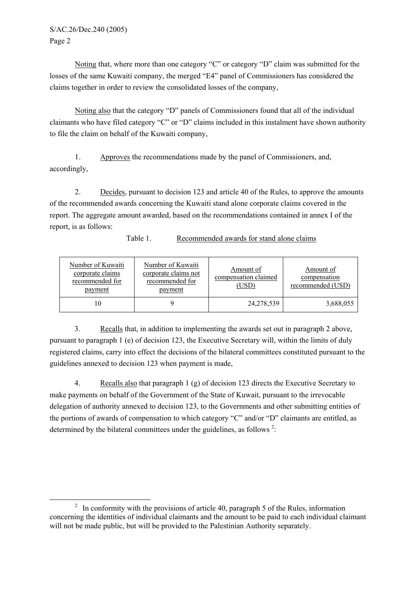Noting that, where more than one category "C" or category "D" claim was submitted for the losses of the same Kuwaiti company, the merged "E4" panel of Commissioners has considered the claims together in order to review the consolidated losses of the company,

 Noting also that the category "D" panels of Commissioners found that all of the individual claimants who have filed category "C" or "D" claims included in this instalment have shown authority to file the claim on behalf of the Kuwaiti company,

1. Approves the recommendations made by the panel of Commissioners, and, accordingly,

2. Decides, pursuant to decision 123 and article 40 of the Rules, to approve the amounts of the recommended awards concerning the Kuwaiti stand alone corporate claims covered in the report. The aggregate amount awarded, based on the recommendations contained in annex I of the report, is as follows:

| Number of Kuwaiti<br>corporate claims<br>recommended for<br>payment | Number of Kuwaiti<br>corporate claims not<br>recommended for<br>payment | Amount of<br>compensation claimed<br>(USD) | Amount of<br>compensation<br>recommended (USD) |
|---------------------------------------------------------------------|-------------------------------------------------------------------------|--------------------------------------------|------------------------------------------------|
|                                                                     |                                                                         | 24,278,539                                 | 3,688,055                                      |

Table 1. Recommended awards for stand alone claims

3. Recalls that, in addition to implementing the awards set out in paragraph 2 above, pursuant to paragraph 1 (e) of decision 123, the Executive Secretary will, within the limits of duly registered claims, carry into effect the decisions of the bilateral committees constituted pursuant to the guidelines annexed to decision 123 when payment is made,

4. Recalls also that paragraph 1 (g) of decision 123 directs the Executive Secretary to make payments on behalf of the Government of the State of Kuwait, pursuant to the irrevocable delegation of authority annexed to decision 123, to the Governments and other submitting entities of the portions of awards of compensation to which category "C" and/or "D" claimants are entitled, as determined by the bilateral committees under the guidelines, as follows  $2$ .

 $\overline{a}$ <sup>2</sup> In conformity with the provisions of article 40, paragraph 5 of the Rules, information concerning the identities of individual claimants and the amount to be paid to each individual claimant will not be made public, but will be provided to the Palestinian Authority separately.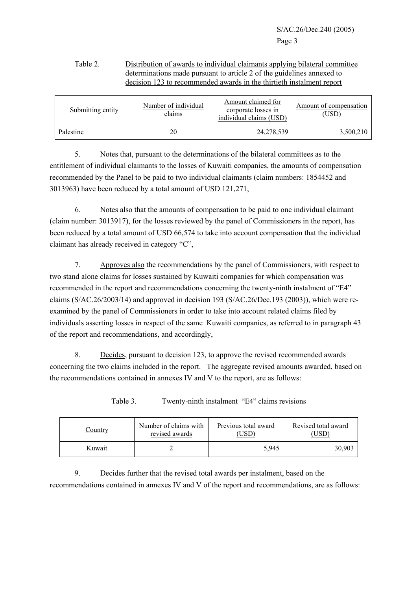S/AC.26/Dec.240 (2005) Page 3

## Table 2. Distribution of awards to individual claimants applying bilateral committee determinations made pursuant to article 2 of the guidelines annexed to decision 123 to recommended awards in the thirtieth instalment report

| Submitting entity | Number of individual<br>claims | Amount claimed for<br>corporate losses in<br>individual claims (USD) | Amount of compensation<br>(USD) |  |
|-------------------|--------------------------------|----------------------------------------------------------------------|---------------------------------|--|
| Palestine         | 20                             | 24, 278, 539                                                         | 3,500,210                       |  |

5. Notes that, pursuant to the determinations of the bilateral committees as to the entitlement of individual claimants to the losses of Kuwaiti companies, the amounts of compensation recommended by the Panel to be paid to two individual claimants (claim numbers: 1854452 and 3013963) have been reduced by a total amount of USD 121,271,

 6. Notes also that the amounts of compensation to be paid to one individual claimant (claim number: 3013917), for the losses reviewed by the panel of Commissioners in the report, has been reduced by a total amount of USD 66,574 to take into account compensation that the individual claimant has already received in category "C",

7. Approves also the recommendations by the panel of Commissioners, with respect to two stand alone claims for losses sustained by Kuwaiti companies for which compensation was recommended in the report and recommendations concerning the twenty-ninth instalment of "E4" claims (S/AC.26/2003/14) and approved in decision 193 (S/AC.26/Dec.193 (2003)), which were reexamined by the panel of Commissioners in order to take into account related claims filed by individuals asserting losses in respect of the same Kuwaiti companies, as referred to in paragraph 43 of the report and recommendations, and accordingly,

8. Decides, pursuant to decision 123, to approve the revised recommended awards concerning the two claims included in the report. The aggregate revised amounts awarded, based on the recommendations contained in annexes IV and V to the report, are as follows:

| Number of claims with<br>Country<br>revised awards |  | Previous total award<br>USD <sup>®</sup> | Revised total award<br>USD |  |
|----------------------------------------------------|--|------------------------------------------|----------------------------|--|
| Kuwait                                             |  | 5,945                                    | 30,903                     |  |

Table 3. Twenty-ninth instalment "E4" claims revisions

9. Decides further that the revised total awards per instalment, based on the recommendations contained in annexes IV and V of the report and recommendations, are as follows: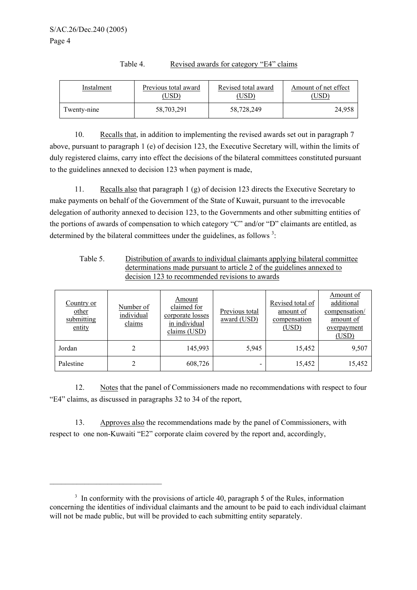| Instalment  | Previous total award | Revised total award | Amount of net effect |
|-------------|----------------------|---------------------|----------------------|
|             | USD <sup>)</sup>     | 'USD                | USD`                 |
| Twenty-nine | 58,703,291           | 58,728,249          | 24,958               |

Table 4. Revised awards for category "E4" claims

10. Recalls that, in addition to implementing the revised awards set out in paragraph 7 above, pursuant to paragraph 1 (e) of decision 123, the Executive Secretary will, within the limits of duly registered claims, carry into effect the decisions of the bilateral committees constituted pursuant to the guidelines annexed to decision 123 when payment is made,

11. Recalls also that paragraph 1 (g) of decision 123 directs the Executive Secretary to make payments on behalf of the Government of the State of Kuwait, pursuant to the irrevocable delegation of authority annexed to decision 123, to the Governments and other submitting entities of the portions of awards of compensation to which category "C" and/or "D" claimants are entitled, as determined by the bilateral committees under the guidelines, as follows  $3$ .

| Table 5. | Distribution of awards to individual claimants applying bilateral committee |
|----------|-----------------------------------------------------------------------------|
|          | determinations made pursuant to article 2 of the guidelines annexed to      |
|          | decision 123 to recommended revisions to awards                             |

| Country or<br>other<br>submitting<br>entity | Number of<br>individual<br>claims | Amount<br>claimed for<br>corporate losses<br>in individual<br>claims (USD) | Previous total<br>award (USD) | Revised total of<br>amount of<br>compensation<br>(USD) | Amount of<br>additional<br>compensation/<br>amount of<br>overpayment<br>(USD) |
|---------------------------------------------|-----------------------------------|----------------------------------------------------------------------------|-------------------------------|--------------------------------------------------------|-------------------------------------------------------------------------------|
| Jordan                                      | 2                                 | 145,993                                                                    | 5,945                         | 15,452                                                 | 9,507                                                                         |
| Palestine                                   | 2                                 | 608,726                                                                    |                               | 15,452                                                 | 15,452                                                                        |

12. Notes that the panel of Commissioners made no recommendations with respect to four "E4" claims, as discussed in paragraphs 32 to 34 of the report,

13. Approves also the recommendations made by the panel of Commissioners, with respect to one non-Kuwaiti "E2" corporate claim covered by the report and, accordingly,

 $\mathcal{L}_\text{max}$ 

<sup>&</sup>lt;sup>3</sup> In conformity with the provisions of article 40, paragraph 5 of the Rules, information concerning the identities of individual claimants and the amount to be paid to each individual claimant will not be made public, but will be provided to each submitting entity separately.